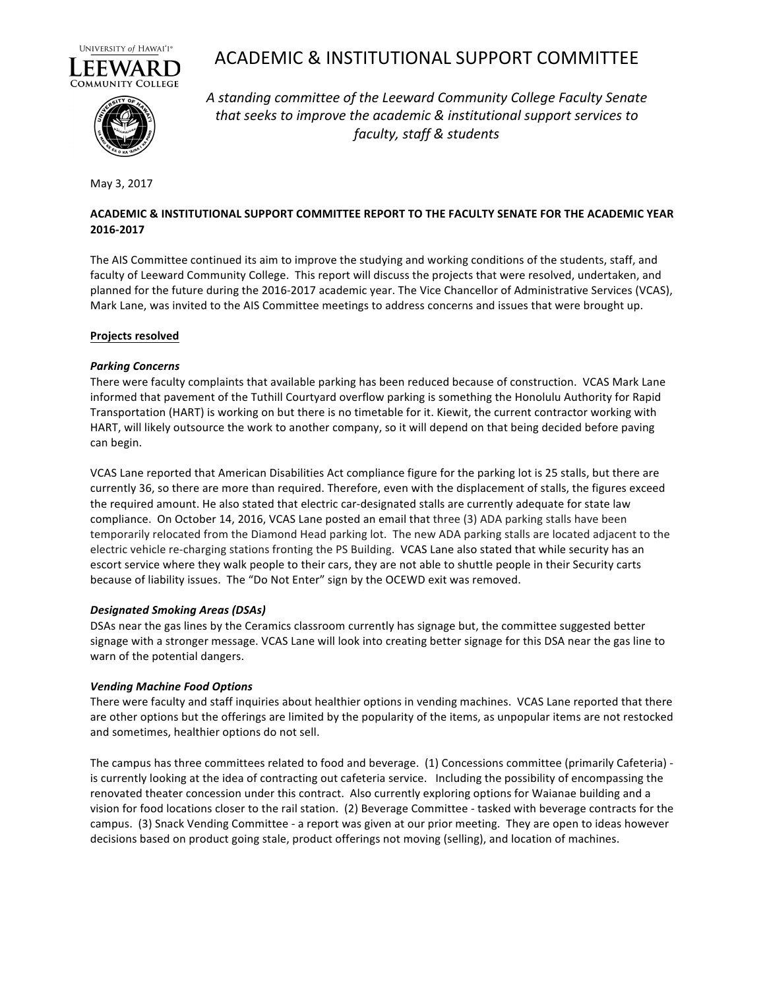

# ACADEMIC & INSTITUTIONAL SUPPORT COMMITTEE



A standing committee of the Leeward Community College Faculty Senate that seeks to improve the academic & institutional support services to *faculty, staff & students*

May 3, 2017

# ACADEMIC & INSTITUTIONAL SUPPORT COMMITTEE REPORT TO THE FACULTY SENATE FOR THE ACADEMIC YEAR **2016-2017**

The AIS Committee continued its aim to improve the studying and working conditions of the students, staff, and faculty of Leeward Community College. This report will discuss the projects that were resolved, undertaken, and planned for the future during the 2016-2017 academic year. The Vice Chancellor of Administrative Services (VCAS), Mark Lane, was invited to the AIS Committee meetings to address concerns and issues that were brought up.

## **Projects resolved**

## *Parking Concerns*

There were faculty complaints that available parking has been reduced because of construction. VCAS Mark Lane informed that pavement of the Tuthill Courtyard overflow parking is something the Honolulu Authority for Rapid Transportation (HART) is working on but there is no timetable for it. Kiewit, the current contractor working with HART, will likely outsource the work to another company, so it will depend on that being decided before paving can begin. 

VCAS Lane reported that American Disabilities Act compliance figure for the parking lot is 25 stalls, but there are currently 36, so there are more than required. Therefore, even with the displacement of stalls, the figures exceed the required amount. He also stated that electric car-designated stalls are currently adequate for state law compliance. On October 14, 2016, VCAS Lane posted an email that three (3) ADA parking stalls have been temporarily relocated from the Diamond Head parking lot. The new ADA parking stalls are located adjacent to the electric vehicle re-charging stations fronting the PS Building. VCAS Lane also stated that while security has an escort service where they walk people to their cars, they are not able to shuttle people in their Security carts because of liability issues. The "Do Not Enter" sign by the OCEWD exit was removed.

# *Designated Smoking Areas (DSAs)*

DSAs near the gas lines by the Ceramics classroom currently has signage but, the committee suggested better signage with a stronger message. VCAS Lane will look into creating better signage for this DSA near the gas line to warn of the potential dangers.

# *Vending Machine Food Options*

There were faculty and staff inquiries about healthier options in vending machines. VCAS Lane reported that there are other options but the offerings are limited by the popularity of the items, as unpopular items are not restocked and sometimes, healthier options do not sell.

The campus has three committees related to food and beverage. (1) Concessions committee (primarily Cafeteria) is currently looking at the idea of contracting out cafeteria service. Including the possibility of encompassing the renovated theater concession under this contract. Also currently exploring options for Waianae building and a vision for food locations closer to the rail station. (2) Beverage Committee - tasked with beverage contracts for the campus. (3) Snack Vending Committee - a report was given at our prior meeting. They are open to ideas however decisions based on product going stale, product offerings not moving (selling), and location of machines.